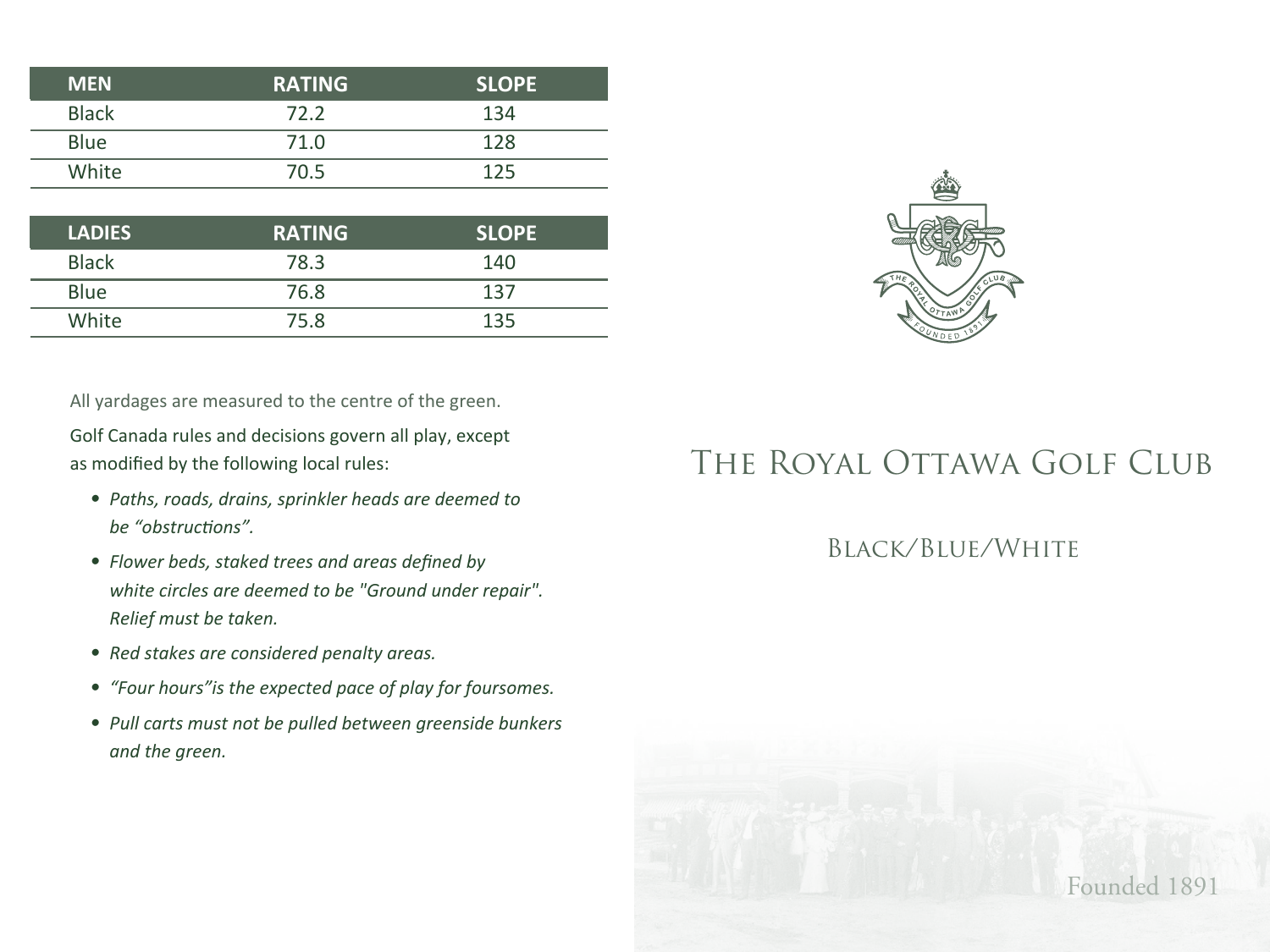| <b>MEN</b>   | <b>RATING</b> | <b>SLOPE</b> |
|--------------|---------------|--------------|
| <b>Black</b> | 72 Z          | 134          |
| <b>Blue</b>  | 71.0          | 128          |
| White        | 70.5          | 125          |

| <b>LADIES</b> | <b>RATING</b> | <b>SLOPE</b> |
|---------------|---------------|--------------|
| <b>Black</b>  | 78.3          | 140          |
| <b>Blue</b>   | 76.8          | 137          |
| White         | 75.8          | 135          |

All yardages are measured to the centre of the green.

Golf Canada rules and decisions govern all play, except as modified by the following local rules:

- *• Paths, roads, drains, sprinkler heads are deemed to be "obstructions".*
- *• Flower beds, staked trees and areas defined by white circles are deemed to be "Ground under repair". Relief must be taken.*
- *• Red stakes are considered penalty areas.*
- *"Four hours"is the expected pace of play for foursomes.*
- *• Pull carts must not be pulled between greenside bunkers and the green.*

## THE ROYAL OTTAWA GOLF CLUB

## Black/Blue/White

Founded 1891